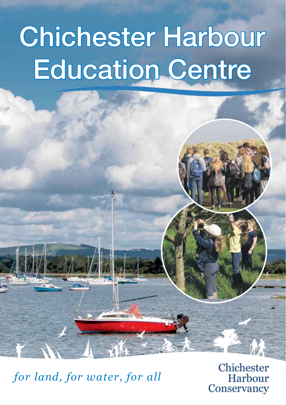# Chichester Harbour Education Centre

*for land, for water, for all*

Chichester Harbour Conservancy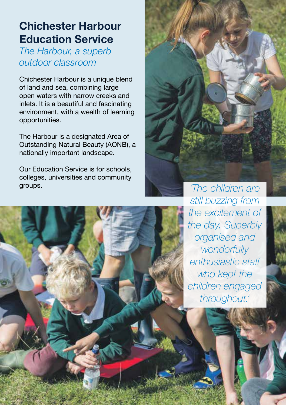# **Chichester Harbour Education Service**

*The Harbour, a superb outdoor classroom*

Chichester Harbour is a unique blend of land and sea, combining large open waters with narrow creeks and inlets. It is a beautiful and fascinating environment, with a wealth of learning opportunities.

The Harbour is a designated Area of Outstanding Natural Beauty (AONB), a nationally important landscape.

Our Education Service is for schools, colleges, universities and community groups. *'The children are* 



*still buzzing from the excitement of the day. Superbly organised and wonderfully enthusiastic staff who kept the children engaged throughout.'*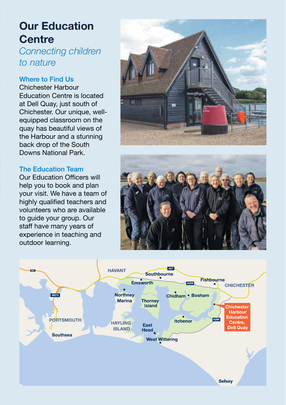# **Our Education Centre**

*Connecting children to nature*

#### Where to Find Us

Chichester Harbour Education Centre is located at Dell Quay, just south of Chichester. Our unique, wellequipped classroom on the quay has beautiful views of the Harbour and a stunning back drop of the South Downs National Park.

#### The Education Team

Our Education Officers will help you to book and plan your visit. We have a team of highly qualified teachers and volunteers who are available to guide your group. Our staff have many years of experience in teaching and outdoor learning.





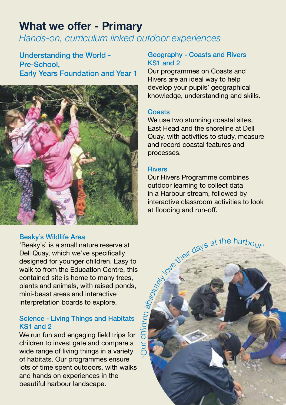# **What we offer - Primary**

*Hands-on, curriculum linked outdoor experiences*

Understanding the World - Pre-School, Early Years Foundation and Year 1



#### Beaky's Wildlife Area

'Beaky's' is a small nature reserve at Dell Quay, which we've specifically designed for younger children. Easy to walk to from the Education Centre, this contained site is home to many trees, plants and animals, with raised ponds, mini-beast areas and interactive interpretation boards to explore.

#### Science - Living Things and Habitats KS1 and 2

We run fun and engaging field trips for children to investigate and compare a wide range of living things in a variety of habitats. Our programmes ensure lots of time spent outdoors, with walks and hands on experiences in the beautiful harbour landscape.

#### Geography - Coasts and Rivers KS1 and 2

Our programmes on Coasts and Rivers are an ideal way to help develop your pupils' geographical knowledge, understanding and skills.

#### **Coasts**

We use two stunning coastal sites, East Head and the shoreline at Dell Quay, with activities to study, measure and record coastal features and processes.

#### **Rivers**

Our Rivers Programme combines outdoor learning to collect data in a Harbour stream, followed by<br>interactive classroom activities to look interactive classroom activities to look at flooding and run-off.

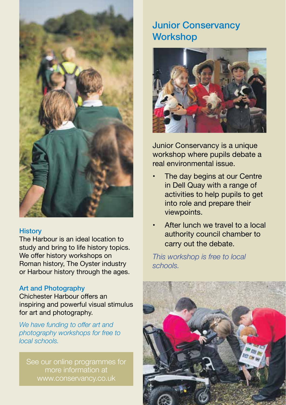

#### **History**

The Harbour is an ideal location to study and bring to life history topics. We offer history workshops on Roman history, The Oyster industry or Harbour history through the ages.

#### Art and Photography

Chichester Harbour offers an inspiring and powerful visual stimulus for art and photography.

*We have funding to offer art and photography workshops for free to local schools.*

See our online programmes for more information at www.conservancy.co.uk

## Junior Conservancy **Workshop**



Junior Conservancy is a unique workshop where pupils debate a real environmental issue.

- The day begins at our Centre in Dell Quay with a range of activities to help pupils to get into role and prepare their viewpoints.
- After lunch we travel to a local authority council chamber to carry out the debate.

*This workshop is free to local schools.*

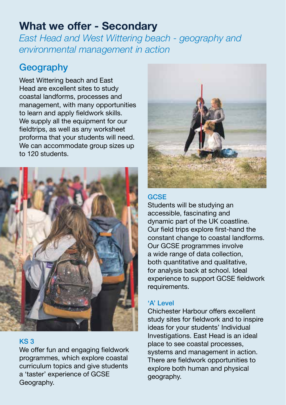## **What we offer - Secondary**

*East Head and West Wittering beach - geography and environmental management in action*

## **Geography**

West Wittering beach and East Head are excellent sites to study coastal landforms, processes and management, with many opportunities to learn and apply fieldwork skills. We supply all the equipment for our fieldtrips, as well as any worksheet proforma that your students will need. We can accommodate group sizes up to 120 students.



#### KS 3

We offer fun and engaging fieldwork programmes, which explore coastal curriculum topics and give students a 'taster' experience of GCSE Geography.



#### **GCSE**

Students will be studying an accessible, fascinating and dynamic part of the UK coastline. Our field trips explore first-hand the constant change to coastal landforms. Our GCSE programmes involve a wide range of data collection, both quantitative and qualitative, for analysis back at school. Ideal experience to support GCSE fieldwork requirements.

#### 'A' Level

Chichester Harbour offers excellent study sites for fieldwork and to inspire ideas for your students' Individual Investigations. East Head is an ideal place to see coastal processes, systems and management in action. There are fieldwork opportunities to explore both human and physical geography.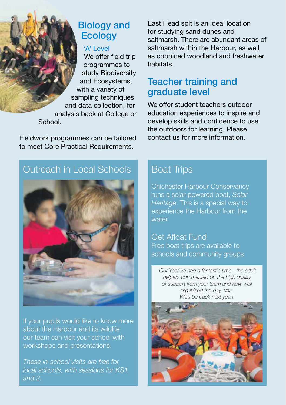## Biology and **Ecology**

#### 'A' Level

We offer field trip programmes to study Biodiversity and Ecosystems, with a variety of sampling techniques and data collection, for analysis back at College or School.

Fieldwork programmes can be tailored to meet Core Practical Requirements.

East Head spit is an ideal location for studying sand dunes and saltmarsh. There are abundant areas of saltmarsh within the Harbour, as well as coppiced woodland and freshwater habitats.

### Teacher training and graduate level

We offer student teachers outdoor education experiences to inspire and develop skills and confidence to use the outdoors for learning. Please contact us for more information.

## Outreach in Local Schools



If your pupils would like to know more about the Harbour and its wildlife our team can visit your school with workshops and presentations.

*These in-school visits are free for local schools, with sessions for KS1 and 2.* 

## Boat Trips

Chichester Harbour Conservancy runs a solar-powered boat, *Solar Heritage*. This is a special way to experience the Harbour from the

Get Afloat Fund Free boat trips are available to schools and community groups

*'Our Year 2s had a fantastic time - the adult helpers commented on the high quality of support from your team and how well organised the day was. We'll be back next year!'*